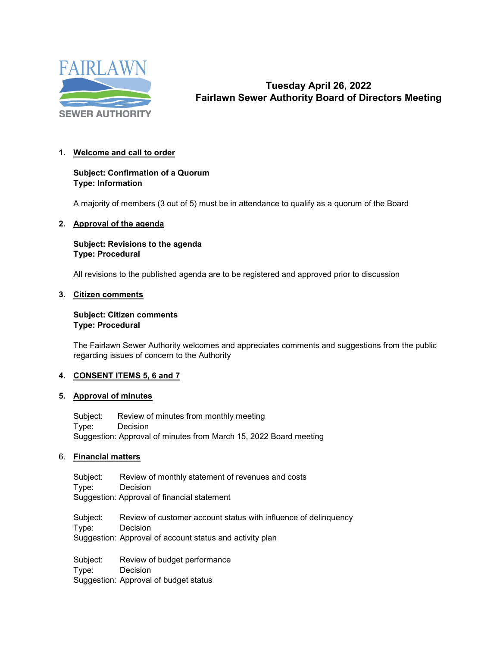

# **Tuesday April 26, 2022 Fairlawn Sewer Authority Board of Directors Meeting**

## **1. Welcome and call to order**

## **Subject: Confirmation of a Quorum Type: Information**

A majority of members (3 out of 5) must be in attendance to qualify as a quorum of the Board

#### **2. Approval of the agenda**

### **Subject: Revisions to the agenda Type: Procedural**

All revisions to the published agenda are to be registered and approved prior to discussion

#### **3. Citizen comments**

#### **Subject: Citizen comments Type: Procedural**

The Fairlawn Sewer Authority welcomes and appreciates comments and suggestions from the public regarding issues of concern to the Authority

## **4. CONSENT ITEMS 5, 6 and 7**

## **5. Approval of minutes**

Subject: Review of minutes from monthly meeting Type: Decision Suggestion: Approval of minutes from March 15, 2022 Board meeting

## 6. **Financial matters**

Subject: Review of monthly statement of revenues and costs<br>Type: Decision **Decision** Suggestion: Approval of financial statement

Subject: Review of customer account status with influence of delinquency Type: Decision Suggestion: Approval of account status and activity plan

Subject: Review of budget performance Type: Decision Suggestion: Approval of budget status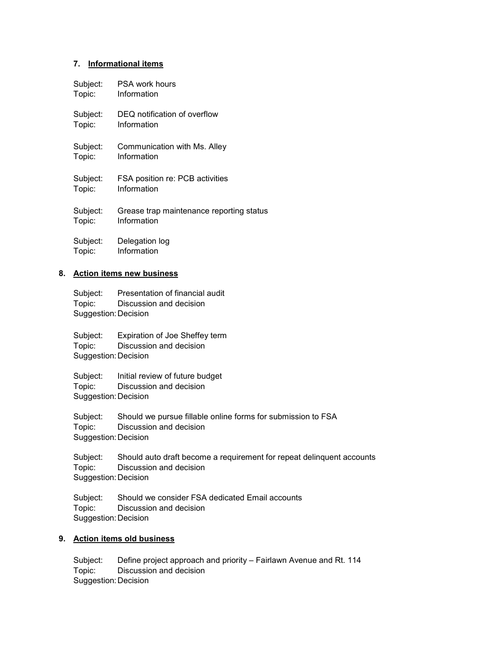#### **7. Informational items**

| Subject: | <b>PSA work hours</b>                    |
|----------|------------------------------------------|
| Topic:   | Information                              |
| Subject: | DEQ notification of overflow             |
| Topic:   | Information                              |
| Subject: | Communication with Ms. Alley             |
| Topic:   | Information                              |
| Subject: | FSA position re: PCB activities          |
| Topic:   | Information                              |
| Subject: | Grease trap maintenance reporting status |
| Topic:   | Information                              |
| Subject: | Delegation log                           |
| Topic:   | Information                              |

#### **8. Action items new business**

Subject: Presentation of financial audit Topic: Discussion and decision Suggestion:Decision

Subject: Expiration of Joe Sheffey term Topic: Discussion and decision Suggestion:Decision

Subject: Initial review of future budget Topic: Discussion and decision Suggestion:Decision

Subject: Should we pursue fillable online forms for submission to FSA<br>Topic: Discussion and decision Discussion and decision Suggestion:Decision

Subject: Should auto draft become a requirement for repeat delinquent accounts Topic: Discussion and decision Suggestion:Decision

Subject: Should we consider FSA dedicated Email accounts Topic: Discussion and decision Suggestion:Decision

## **9. Action items old business**

Subject: Define project approach and priority – Fairlawn Avenue and Rt. 114 Topic: Discussion and decision Suggestion:Decision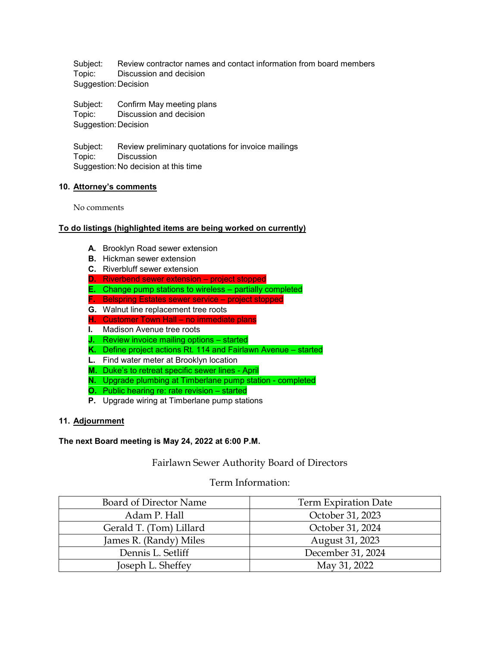Subject: Review contractor names and contact information from board members Topic: Discussion and decision Suggestion:Decision

Subject: Confirm May meeting plans Topic: Discussion and decision Suggestion:Decision

Subject: Review preliminary quotations for invoice mailings Topic: Discussion Suggestion:No decision at this time

## **10. Attorney's comments**

No comments

## **To do listings (highlighted items are being worked on currently)**

- **A.** Brooklyn Road sewer extension
- **B.** Hickman sewer extension
- **C.** Riverbluff sewer extension
- **D.** Riverbend sewer extension project stopped
- **E.** Change pump stations to wireless partially completed
- **F.** Belspring Estates sewer service project stopped
- **G.** Walnut line replacement tree roots
- **H.** Customer Town Hall no immediate plans
- **I.** Madison Avenue tree roots
- **J.** Review invoice mailing options started
- **K.** Define project actions Rt. 114 and Fairlawn Avenue started
- **L.** Find water meter at Brooklyn location
- **M.** Duke's to retreat specific sewer lines April
- **N.** Upgrade plumbing at Timberlane pump station completed
- **O.** Public hearing re: rate revision started
- **P.** Upgrade wiring at Timberlane pump stations

## **11. Adjournment**

#### **The next Board meeting is May 24, 2022 at 6:00 P.M.**

## Fairlawn Sewer Authority Board of Directors

## Term Information:

| Board of Director Name  | Term Expiration Date |
|-------------------------|----------------------|
| Adam P. Hall            | October 31, 2023     |
| Gerald T. (Tom) Lillard | October 31, 2024     |
| James R. (Randy) Miles  | August 31, 2023      |
| Dennis L. Setliff       | December 31, 2024    |
| Joseph L. Sheffey       | May 31, 2022         |